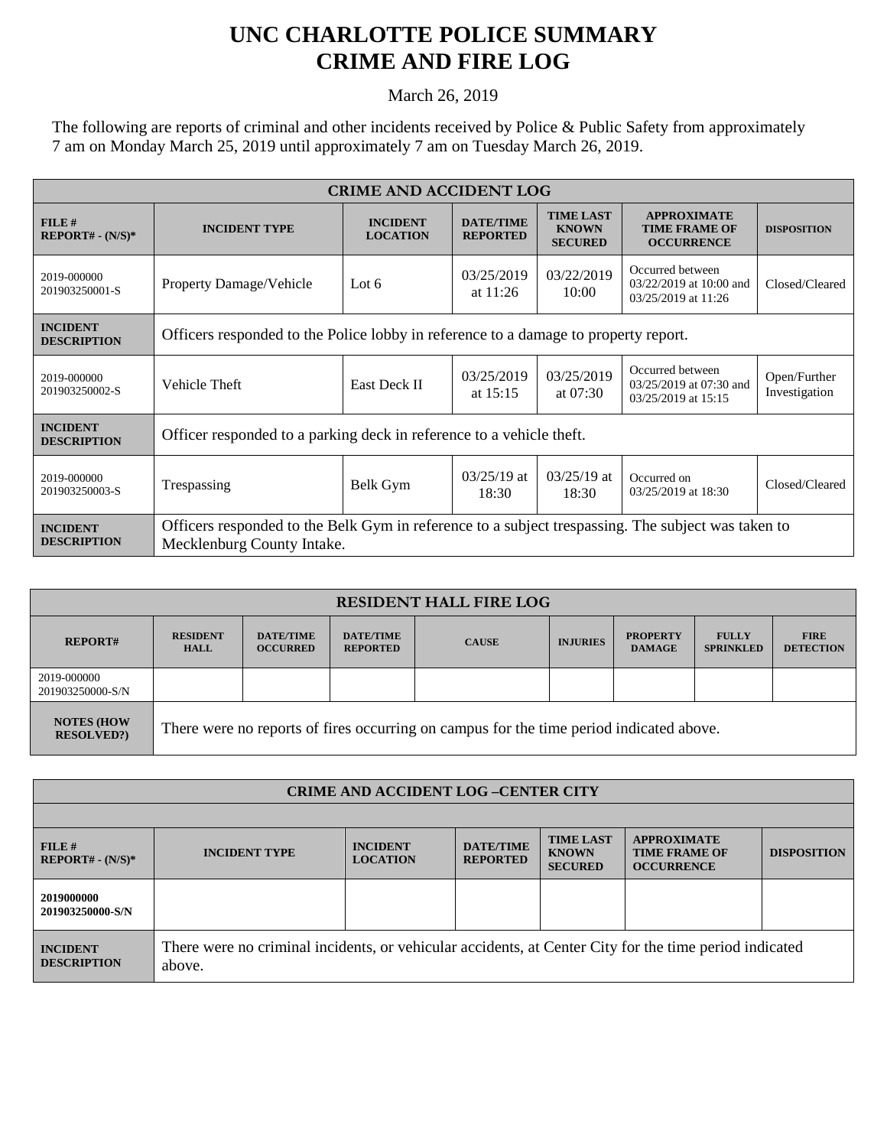## **UNC CHARLOTTE POLICE SUMMARY CRIME AND FIRE LOG**

March 26, 2019

The following are reports of criminal and other incidents received by Police & Public Safety from approximately 7 am on Monday March 25, 2019 until approximately 7 am on Tuesday March 26, 2019.

| <b>CRIME AND ACCIDENT LOG</b>         |                                                                                                                                  |                                    |                                     |                                                    |                                                                        |                               |  |
|---------------------------------------|----------------------------------------------------------------------------------------------------------------------------------|------------------------------------|-------------------------------------|----------------------------------------------------|------------------------------------------------------------------------|-------------------------------|--|
| $FILE$ #<br>$REPORT# - (N/S)*$        | <b>INCIDENT TYPE</b>                                                                                                             | <b>INCIDENT</b><br><b>LOCATION</b> | <b>DATE/TIME</b><br><b>REPORTED</b> | <b>TIME LAST</b><br><b>KNOWN</b><br><b>SECURED</b> | <b>APPROXIMATE</b><br><b>TIME FRAME OF</b><br><b>OCCURRENCE</b>        | <b>DISPOSITION</b>            |  |
| 2019-000000<br>201903250001-S         | <b>Property Damage/Vehicle</b>                                                                                                   | Lot $6$                            | 03/25/2019<br>at $11:26$            | 03/22/2019<br>10:00                                | Occurred between<br>03/22/2019 at 10:00 and<br>03/25/2019 at 11:26     | Closed/Cleared                |  |
| <b>INCIDENT</b><br><b>DESCRIPTION</b> | Officers responded to the Police lobby in reference to a damage to property report.                                              |                                    |                                     |                                                    |                                                                        |                               |  |
| 2019-000000<br>201903250002-S         | Vehicle Theft                                                                                                                    | East Deck II                       | 03/25/2019<br>at $15:15$            | 03/25/2019<br>at $07:30$                           | Occurred between<br>$03/25/2019$ at $07:30$ and<br>03/25/2019 at 15:15 | Open/Further<br>Investigation |  |
| <b>INCIDENT</b><br><b>DESCRIPTION</b> | Officer responded to a parking deck in reference to a vehicle theft.                                                             |                                    |                                     |                                                    |                                                                        |                               |  |
| 2019-000000<br>201903250003-S         | Trespassing                                                                                                                      | Belk Gym                           | $03/25/19$ at<br>18:30              | $03/25/19$ at<br>18:30                             | Occurred on<br>03/25/2019 at 18:30                                     | Closed/Cleared                |  |
| <b>INCIDENT</b><br><b>DESCRIPTION</b> | Officers responded to the Belk Gym in reference to a subject trespassing. The subject was taken to<br>Mecklenburg County Intake. |                                    |                                     |                                                    |                                                                        |                               |  |

| <b>RESIDENT HALL FIRE LOG</b>          |                                                                                         |                                     |                                     |              |                 |                                  |                                  |                                 |
|----------------------------------------|-----------------------------------------------------------------------------------------|-------------------------------------|-------------------------------------|--------------|-----------------|----------------------------------|----------------------------------|---------------------------------|
| <b>REPORT#</b>                         | <b>RESIDENT</b><br><b>HALL</b>                                                          | <b>DATE/TIME</b><br><b>OCCURRED</b> | <b>DATE/TIME</b><br><b>REPORTED</b> | <b>CAUSE</b> | <b>INJURIES</b> | <b>PROPERTY</b><br><b>DAMAGE</b> | <b>FULLY</b><br><b>SPRINKLED</b> | <b>FIRE</b><br><b>DETECTION</b> |
| 2019-000000<br>201903250000-S/N        |                                                                                         |                                     |                                     |              |                 |                                  |                                  |                                 |
| <b>NOTES (HOW</b><br><b>RESOLVED?)</b> | There were no reports of fires occurring on campus for the time period indicated above. |                                     |                                     |              |                 |                                  |                                  |                                 |

| <b>CRIME AND ACCIDENT LOG-CENTER CITY</b> |                                                                                                                  |                                    |                                     |                                                    |                                                                 |                    |  |
|-------------------------------------------|------------------------------------------------------------------------------------------------------------------|------------------------------------|-------------------------------------|----------------------------------------------------|-----------------------------------------------------------------|--------------------|--|
|                                           |                                                                                                                  |                                    |                                     |                                                    |                                                                 |                    |  |
| FILE#<br>$REPORT# - (N/S)*$               | <b>INCIDENT TYPE</b>                                                                                             | <b>INCIDENT</b><br><b>LOCATION</b> | <b>DATE/TIME</b><br><b>REPORTED</b> | <b>TIME LAST</b><br><b>KNOWN</b><br><b>SECURED</b> | <b>APPROXIMATE</b><br><b>TIME FRAME OF</b><br><b>OCCURRENCE</b> | <b>DISPOSITION</b> |  |
| 2019000000<br>201903250000-S/N            |                                                                                                                  |                                    |                                     |                                                    |                                                                 |                    |  |
| <b>INCIDENT</b><br><b>DESCRIPTION</b>     | There were no criminal incidents, or vehicular accidents, at Center City for the time period indicated<br>above. |                                    |                                     |                                                    |                                                                 |                    |  |